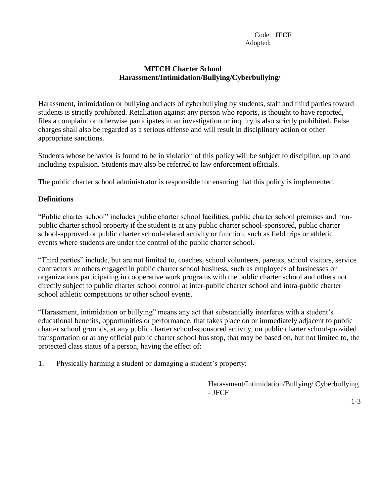## **MITCH Charter School Harassment/Intimidation/Bullying/Cyberbullying/**

Harassment, intimidation or bullying and acts of cyberbullying by students, staff and third parties toward students is strictly prohibited. Retaliation against any person who reports, is thought to have reported, files a complaint or otherwise participates in an investigation or inquiry is also strictly prohibited. False charges shall also be regarded as a serious offense and will result in disciplinary action or other appropriate sanctions.

Students whose behavior is found to be in violation of this policy will be subject to discipline, up to and including expulsion. Students may also be referred to law enforcement officials.

The public charter school administrator is responsible for ensuring that this policy is implemented.

## **Definitions**

"Public charter school" includes public charter school facilities, public charter school premises and nonpublic charter school property if the student is at any public charter school-sponsored, public charter school-approved or public charter school-related activity or function, such as field trips or athletic events where students are under the control of the public charter school.

"Third parties" include, but are not limited to, coaches, school volunteers, parents, school visitors, service contractors or others engaged in public charter school business, such as employees of businesses or organizations participating in cooperative work programs with the public charter school and others not directly subject to public charter school control at inter-public charter school and intra-public charter school athletic competitions or other school events.

"Harassment, intimidation or bullying" means any act that substantially interferes with a student's educational benefits, opportunities or performance, that takes place on or immediately adjacent to public charter school grounds, at any public charter school-sponsored activity, on public charter school-provided transportation or at any official public charter school bus stop, that may be based on, but not limited to, the protected class status of a person, having the effect of:

1. Physically harming a student or damaging a student's property;

Harassment/Intimidation/Bullying/ Cyberbullying - JFCF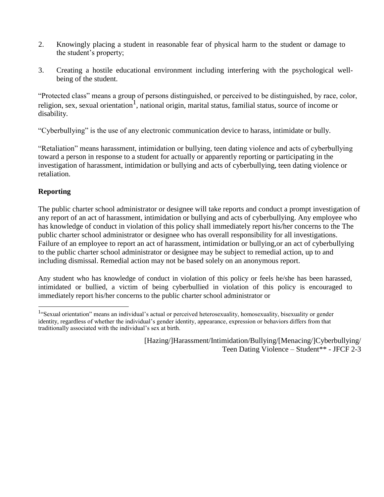- 2. Knowingly placing a student in reasonable fear of physical harm to the student or damage to the student's property;
- 3. Creating a hostile educational environment including interfering with the psychological wellbeing of the student.

"Protected class" means a group of persons distinguished, or perceived to be distinguished, by race, color, religion, sex, sexual orientation<sup>1</sup>, national origin, marital status, familial status, source of income or disability.

"Cyberbullying" is the use of any electronic communication device to harass, intimidate or bully.

"Retaliation" means harassment, intimidation or bullying, teen dating violence and acts of cyberbullying toward a person in response to a student for actually or apparently reporting or participating in the investigation of harassment, intimidation or bullying and acts of cyberbullying, teen dating violence or retaliation.

## **Reporting**

The public charter school administrator or designee will take reports and conduct a prompt investigation of any report of an act of harassment, intimidation or bullying and acts of cyberbullying. Any employee who has knowledge of conduct in violation of this policy shall immediately report his/her concerns to the The public charter school administrator or designee who has overall responsibility for all investigations. Failure of an employee to report an act of harassment, intimidation or bullying,or an act of cyberbullying to the public charter school administrator or designee may be subject to remedial action, up to and including dismissal. Remedial action may not be based solely on an anonymous report.

Any student who has knowledge of conduct in violation of this policy or feels he/she has been harassed, intimidated or bullied, a victim of being cyberbullied in violation of this policy is encouraged to immediately report his/her concerns to the public charter school administrator or

<sup>&</sup>lt;sup>1</sup> "Sexual orientation" means an individual's actual or perceived heterosexuality, homosexuality, bisexuality or gender identity, regardless of whether the individual's gender identity, appearance, expression or behaviors differs from that traditionally associated with the individual's sex at birth.

<sup>[</sup>Hazing/]Harassment/Intimidation/Bullying/[Menacing/]Cyberbullying/ Teen Dating Violence – Student\*\* - JFCF 2-3